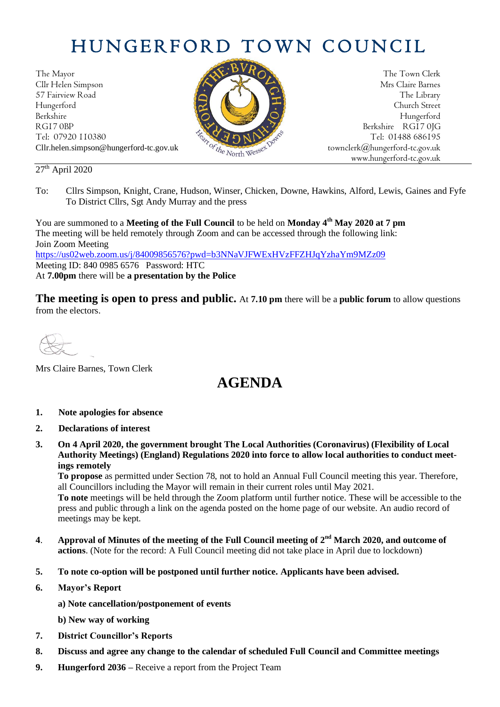# HUNGERFORD TOWN COUNCIL

The Mayor The Town Clerk Cllr Helen Simpson Mrs Claire Barnes 57 Fairview Road The Library (Church Street Hungerford Church Street Berkshire Hungerford RG17 0BP Berkshire RG17 0JG Cllr.helen.simpson@hungerford-tc.gov.uk [townclerk@hungerford-tc.gov.uk](mailto:townclerk@hungerford-tc.gov.uk)



Tel: 07920 110380 Tel: 07920 110380 Tel: 07920 110380 Tel: 01488 686195 www.hungerford-tc.gov.uk

#### $27<sup>th</sup>$  April 2020

To: Cllrs Simpson, Knight, Crane, Hudson, Winser, Chicken, Downe, Hawkins, Alford, Lewis, Gaines and Fyfe To District Cllrs, Sgt Andy Murray and the press

You are summoned to a **Meeting of the Full Council** to be held on **Monday 4 th May 2020 at 7 pm** The meeting will be held remotely through Zoom and can be accessed through the following link: Join Zoom Meeting <https://us02web.zoom.us/j/84009856576?pwd=b3NNaVJFWExHVzFFZHJqYzhaYm9MZz09>

Meeting ID: 840 0985 6576 Password: HTC At **7.00pm** there will be **a presentation by the Police**

**The meeting is open to press and public.** At **7.10 pm** there will be a **public forum** to allow questions from the electors.

Mrs Claire Barnes, Town Clerk

## **AGENDA**

- **1. Note apologies for absence**
- **2. Declarations of interest**
- **3. On 4 April 2020, the government brought The Local Authorities (Coronavirus) (Flexibility of Local Authority Meetings) (England) Regulations 2020 into force to allow local authorities to conduct meetings remotely**

**To propose** as permitted under Section 78, not to hold an Annual Full Council meeting this year. Therefore, all Councillors including the Mayor will remain in their current roles until May 2021.

**To note** meetings will be held through the Zoom platform until further notice. These will be accessible to the press and public through a link on the agenda posted on the home page of our website. An audio record of meetings may be kept.

- **4**. **Approval of Minutes of the meeting of the Full Council meeting of 2 nd March 2020, and outcome of actions**. (Note for the record: A Full Council meeting did not take place in April due to lockdown)
- **5. To note co-option will be postponed until further notice. Applicants have been advised.**
- **6. Mayor's Report**
	- **a) Note cancellation/postponement of events**
	- **b) New way of working**
- **7. District Councillor's Reports**
- **8. Discuss and agree any change to the calendar of scheduled Full Council and Committee meetings**
- **9. Hungerford 2036 –** Receive a report from the Project Team